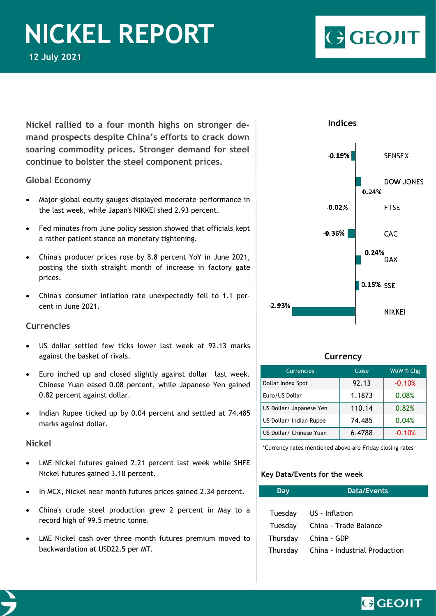# *Nickel Report 12 July 2021* **NICKEL REPORT**

**GEOJIT** 

**Nickel rallied to a four month highs on stronger demand prospects despite China's efforts to crack down soaring commodity prices. Stronger demand for steel continue to bolster the steel component prices.** 

## **Global Economy**

- Major global equity gauges displayed moderate performance in the last week, while Japan's NIKKEI shed 2.93 percent.
- Fed minutes from June policy session showed that officials kept a rather patient stance on monetary tightening.
- China's producer prices rose by 8.8 percent YoY in June 2021, posting the sixth straight month of increase in factory gate prices.
- China's consumer inflation rate unexpectedly fell to 1.1 percent in June 2021.

# **Currencies**

- US dollar settled few ticks lower last week at 92.13 marks against the basket of rivals.
- Euro inched up and closed slightly against dollar last week. Chinese Yuan eased 0.08 percent, while Japanese Yen gained 0.82 percent against dollar.
- Indian Rupee ticked up by 0.04 percent and settled at 74.485 marks against dollar.

## **Nickel**

- LME Nickel futures gained 2.21 percent last week while SHFE Nickel futures gained 3.18 percent.
- In MCX, Nickel near month futures prices gained 2.34 percent.
- China's crude steel production grew 2 percent in May to a record high of 99.5 metric tonne.
- LME Nickel cash over three month futures premium moved to backwardation at USD22.5 per MT.



## **Currency**

| <b>Currencies</b>       | Close  | WoW % Chg |
|-------------------------|--------|-----------|
| Dollar Index Spot       | 92.13  | $-0.10%$  |
| Euro/US Dollar          | 1.1873 | 0.08%     |
| US Dollar/ Japanese Yen | 110.14 | 0.82%     |
| US Dollar/ Indian Rupee | 74.485 | 0.04%     |
| US Dollar/ Chinese Yuan | 6.4788 | $-0.10%$  |

\*Currency rates mentioned above are Friday closing rates

## **Key Data/Events for the week**

| Day      | <b>Data/Events</b>            |
|----------|-------------------------------|
|          |                               |
| Tuesday  | US - Inflation                |
| Tuesday  | China - Trade Balance         |
| Thursday | China - GDP                   |
| Thursday | China - Industrial Production |

GGEOJIT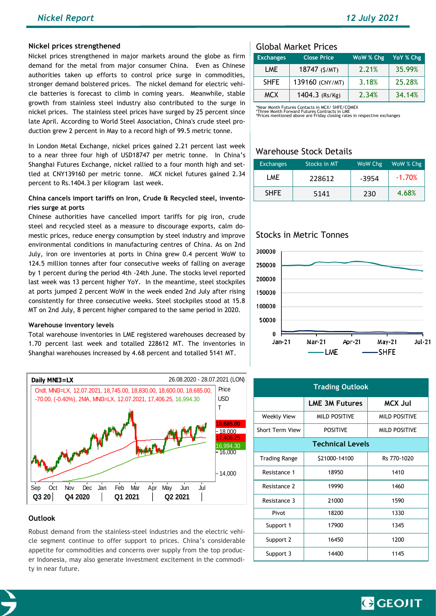#### **Nickel prices strengthened**

Nickel prices strengthened in major markets around the globe as firm demand for the metal from major consumer China. Even as Chinese authorities taken up efforts to control price surge in commodities, stronger demand bolstered prices. The nickel demand for electric vehicle batteries is forecast to climb in coming years. Meanwhile, stable growth from stainless steel industry also contributed to the surge in nickel prices. The stainless steel prices have surged by 25 percent since late April. According to World Steel Association, China's crude steel production grew 2 percent in May to a record high of 99.5 metric tonne.

In London Metal Exchange, nickel prices gained 2.21 percent last week to a near three four high of USD18747 per metric tonne. In China's Shanghai Futures Exchange, nickel rallied to a four month high and settled at CNY139160 per metric tonne. MCX nickel futures gained 2.34 percent to Rs.1404.3 per kilogram last week.

### **China cancels import tariffs on Iron, Crude & Recycled steel, inventories surge at ports**

Chinese authorities have cancelled import tariffs for pig iron, crude steel and recycled steel as a measure to discourage exports, calm domestic prices, reduce energy consumption by steel industry and improve environmental conditions in manufacturing centres of China. As on 2nd July, iron ore inventories at ports in China grew 0.4 percent WoW to 124.5 million tonnes after four consecutive weeks of falling on average by 1 percent during the period 4th -24th June. The stocks level reported last week was 13 percent higher YoY. In the meantime, steel stockpiles at ports jumped 2 percent WoW in the week ended 2nd July after rising consistently for three consecutive weeks. Steel stockpiles stood at 15.8 MT on 2nd July, 8 percent higher compared to the same period in 2020.

#### **Warehouse inventory levels**

Total warehouse inventories in LME registered warehouses decreased by 1.70 percent last week and totalled 228612 MT. The inventories in Shanghai warehouses increased by 4.68 percent and totalled 5141 MT.



### **Outlook**

Robust demand from the stainless-steel industries and the electric vehicle segment continue to offer support to prices. China's considerable appetite for commodities and concerns over supply from the top producer Indonesia, may also generate investment excitement in the commodity in near future.

## Global Market Prices

| <b>Exchanges</b> | <b>Close Price</b> | WoW % Chg | YoY % Chg |
|------------------|--------------------|-----------|-----------|
| LME              | 18747 (\$/MT)      | 2.21%     | 35.99%    |
| <b>SHFE</b>      | 139160 (CNY/MT)    | 3.18%     | 25.28%    |
| <b>MCX</b>       | 1404.3 (Rs/Kg)     | 2.34%     | 34.14%    |

\*Near Month Futures Contacts in MCX/ SHFE/COMEX<br>\*Three Month Forward Futures Contracts in LME<br>\*Prices mentioned above are Friday closing rates in respective exchanges

## Warehouse Stock Details

| <b>Exchanges</b> | <b>Stocks in MT</b> | WoW Chg | WoW % Chg |
|------------------|---------------------|---------|-----------|
| LME              | 228612              | -3954   | $-1.70%$  |
| <b>SHFE</b>      | 5141                | 230     | 4.68%     |

## Stocks in Metric Tonnes



| <b>Trading Outlook</b>  |                       |                      |  |  |
|-------------------------|-----------------------|----------------------|--|--|
|                         | <b>LME 3M Futures</b> | <b>MCX Jul</b>       |  |  |
| <b>Weekly View</b>      | <b>MILD POSITIVE</b>  | <b>MILD POSITIVE</b> |  |  |
| <b>Short Term View</b>  | <b>POSITIVE</b>       | <b>MILD POSITIVE</b> |  |  |
| <b>Technical Levels</b> |                       |                      |  |  |
| <b>Trading Range</b>    | \$21000-14100         | Rs 770-1020          |  |  |
| Resistance 1            | 18950                 | 1410                 |  |  |
| Resistance 2            | 19990                 | 1460                 |  |  |
| Resistance 3            | 21000                 | 1590                 |  |  |
| Pivot                   | 18200                 | 1330                 |  |  |
| Support 1               | 17900                 | 1345                 |  |  |
| Support 2               | 16450                 | 1200                 |  |  |
| Support 3               | 14400                 | 1145                 |  |  |

GGEOJIT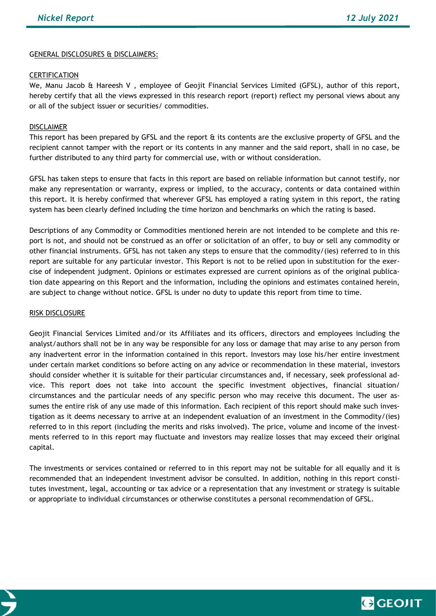## GENERAL DISCLOSURES & DISCLAIMERS:

### **CERTIFICATION**

We, Manu Jacob & Hareesh V, employee of Geojit Financial Services Limited (GFSL), author of this report, hereby certify that all the views expressed in this research report (report) reflect my personal views about any or all of the subject issuer or securities/ commodities.

## DISCLAIMER

This report has been prepared by GFSL and the report & its contents are the exclusive property of GFSL and the recipient cannot tamper with the report or its contents in any manner and the said report, shall in no case, be further distributed to any third party for commercial use, with or without consideration.

GFSL has taken steps to ensure that facts in this report are based on reliable information but cannot testify, nor make any representation or warranty, express or implied, to the accuracy, contents or data contained within this report. It is hereby confirmed that wherever GFSL has employed a rating system in this report, the rating system has been clearly defined including the time horizon and benchmarks on which the rating is based.

Descriptions of any Commodity or Commodities mentioned herein are not intended to be complete and this report is not, and should not be construed as an offer or solicitation of an offer, to buy or sell any commodity or other financial instruments. GFSL has not taken any steps to ensure that the commodity/(ies) referred to in this report are suitable for any particular investor. This Report is not to be relied upon in substitution for the exercise of independent judgment. Opinions or estimates expressed are current opinions as of the original publication date appearing on this Report and the information, including the opinions and estimates contained herein, are subject to change without notice. GFSL is under no duty to update this report from time to time.

#### RISK DISCLOSURE

Geojit Financial Services Limited and/or its Affiliates and its officers, directors and employees including the analyst/authors shall not be in any way be responsible for any loss or damage that may arise to any person from any inadvertent error in the information contained in this report. Investors may lose his/her entire investment under certain market conditions so before acting on any advice or recommendation in these material, investors should consider whether it is suitable for their particular circumstances and, if necessary, seek professional advice. This report does not take into account the specific investment objectives, financial situation/ circumstances and the particular needs of any specific person who may receive this document. The user assumes the entire risk of any use made of this information. Each recipient of this report should make such investigation as it deems necessary to arrive at an independent evaluation of an investment in the Commodity/(ies) referred to in this report (including the merits and risks involved). The price, volume and income of the investments referred to in this report may fluctuate and investors may realize losses that may exceed their original capital.

The investments or services contained or referred to in this report may not be suitable for all equally and it is recommended that an independent investment advisor be consulted. In addition, nothing in this report constitutes investment, legal, accounting or tax advice or a representation that any investment or strategy is suitable or appropriate to individual circumstances or otherwise constitutes a personal recommendation of GFSL.